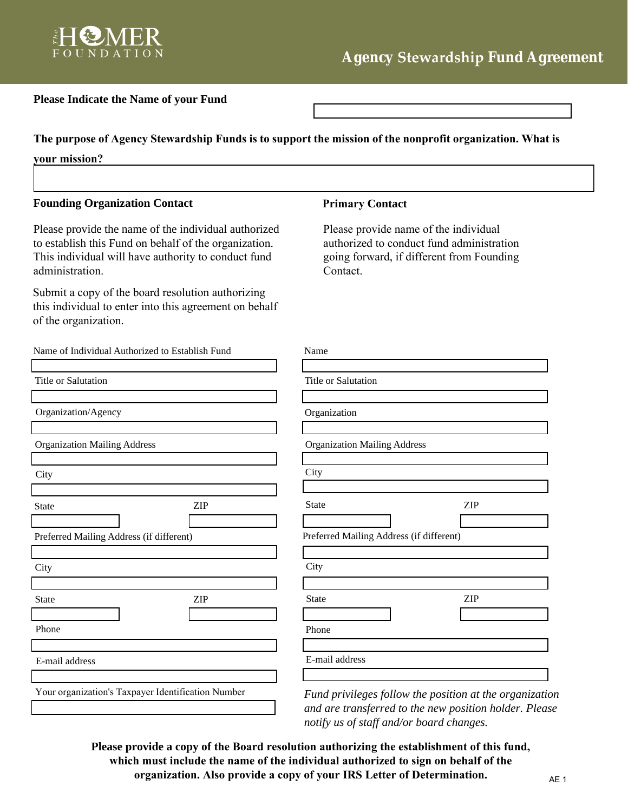

# **Please Indicate the Name of your Fund**

**The purpose of Agency Stewardship Funds is to support the mission of the nonprofit organization. What is your mission?**

#### **Founding Organization Contact Primary Contact**

Please provide the name of the individual authorized to establish this Fund on behalf of the organization. This individual will have authority to conduct fund administration.

Submit a copy of the board resolution authorizing this individual to enter into this agreement on behalf of the organization.

Name of Individual Authorized to Establish Fund

| Title or Salutation                                |     | Title or Salutation                                                              |     |
|----------------------------------------------------|-----|----------------------------------------------------------------------------------|-----|
|                                                    |     |                                                                                  |     |
| Organization/Agency                                |     | Organization                                                                     |     |
|                                                    |     |                                                                                  |     |
| <b>Organization Mailing Address</b>                |     | <b>Organization Mailing Address</b>                                              |     |
| City                                               |     | City                                                                             |     |
|                                                    |     |                                                                                  |     |
| <b>State</b>                                       | ZIP | <b>State</b>                                                                     | ZIP |
|                                                    |     |                                                                                  |     |
| Preferred Mailing Address (if different)           |     | Preferred Mailing Address (if different)                                         |     |
|                                                    |     | City                                                                             |     |
| City                                               |     |                                                                                  |     |
| <b>State</b>                                       | ZIP | State                                                                            | ZIP |
|                                                    |     |                                                                                  |     |
| Phone                                              |     | Phone                                                                            |     |
|                                                    |     |                                                                                  |     |
| E-mail address                                     |     | E-mail address                                                                   |     |
|                                                    |     |                                                                                  |     |
| Your organization's Taxpayer Identification Number |     | Fund privileges follow the position at<br>and are transferred to the new positio |     |

Please provide name of the individual authorized to conduct fund administration going forward, if different from Founding Contact.

| Name                                     |  |
|------------------------------------------|--|
|                                          |  |
| <b>Title or Salutation</b>               |  |
|                                          |  |
| Organization                             |  |
|                                          |  |
| <b>Organization Mailing Address</b>      |  |
|                                          |  |
| City                                     |  |
|                                          |  |
| <b>State</b><br>ZIP                      |  |
|                                          |  |
| Preferred Mailing Address (if different) |  |
|                                          |  |
| City                                     |  |
|                                          |  |
| <b>State</b><br><b>ZIP</b>               |  |
|                                          |  |
| Phone                                    |  |
|                                          |  |
| E-mail address                           |  |
|                                          |  |

*Fund privileges follow the position at the organization and are transferred to the new position holder. Please notify us of staff and/or board changes.*

**Please provide a copy of the Board resolution authorizing the establishment of this fund, which must include the name of the individual authorized to sign on behalf of the organization. Also provide a copy of your IRS Letter of Determination.**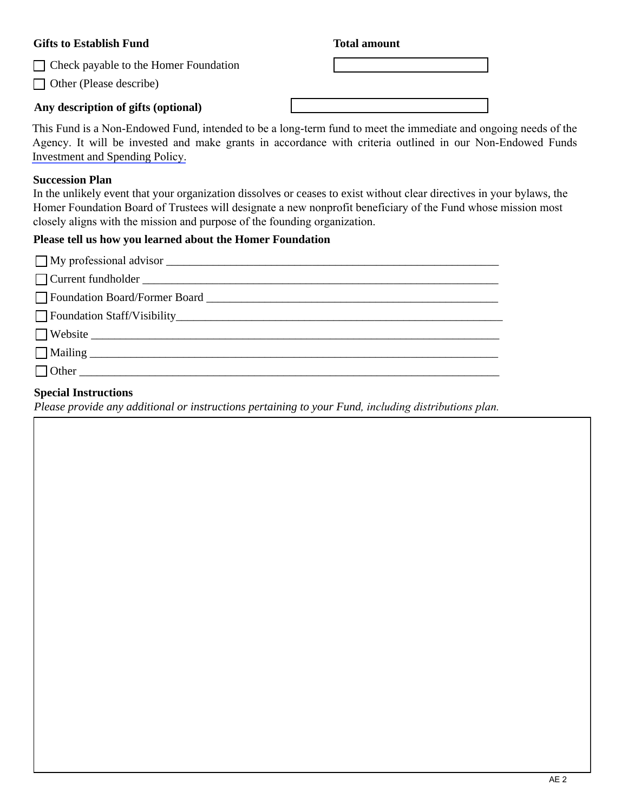## **Gifts to Establish Fund**

Check payable to the Homer Foundation

□ Other (Please describe)

# **Any description of gifts (optional)**

### **Total amount**

| This Fund is a Non-Endowed Fund, intended to be a long-term fund to meet the immediate and ongoing needs of the |  |
|-----------------------------------------------------------------------------------------------------------------|--|
| Agency. It will be invested and make grants in accordance with criteria outlined in our Non-Endowed Funds       |  |
| Investment and Spending Policy.                                                                                 |  |

### **Succession Plan**

In the unlikely event that your organization dissolves or ceases to exist without clear directives in your bylaws, the Homer Foundation Board of Trustees will designate a new nonprofit beneficiary of the Fund whose mission most closely aligns with the mission and purpose of the founding organization.

# **Please tell us how you learned about the Homer Foundation**

| $\Box$ Other |
|--------------|

# **Special Instructions**

*Please provide any additional or instructions pertaining to your Fund, including distributions plan.*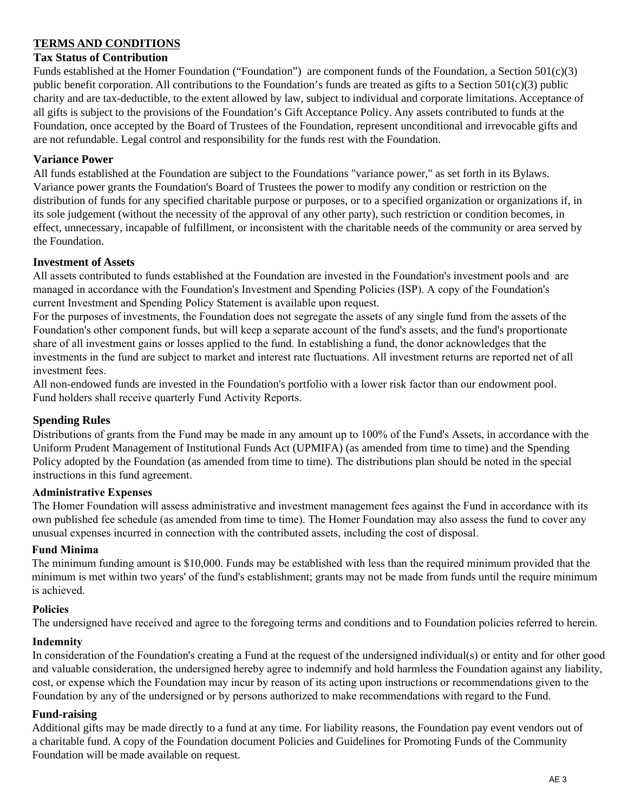# **TERMS AND CONDITIONS**

### **Tax Status of Contribution**

Funds established at the Homer Foundation ("Foundation") are component funds of the Foundation, a Section 501(c)(3) public benefit corporation. All contributions to the Foundation's funds are treated as gifts to a Section 501(c)(3) public charity and are tax-deductible, to the extent allowed by law, subject to individual and corporate limitations. Acceptance of all gifts is subject to the provisions of the Foundation's Gift Acceptance Policy. Any assets contributed to funds at the Foundation, once accepted by the Board of Trustees of the Foundation, represent unconditional and irrevocable gifts and are not refundable. Legal control and responsibility for the funds rest with the Foundation.

## **Variance Power**

All funds established at the Foundation are subject to the Foundations "variance power," as set forth in its Bylaws. Variance power grants the Foundation's Board of Trustees the power to modify any condition or restriction on the distribution of funds for any specified charitable purpose or purposes, or to a specified organization or organizations if, in its sole judgement (without the necessity of the approval of any other party), such restriction or condition becomes, in effect, unnecessary, incapable of fulfillment, or inconsistent with the charitable needs of the community or area served by the Foundation.

### **Investment of Assets**

All assets contributed to funds established at the Foundation are invested in the Foundation's investment pools and are managed in accordance with the Foundation's Investment and Spending Policies (ISP). A copy of the Foundation's current Investment and Spending Policy Statement is available upon request.

For the purposes of investments, the Foundation does not segregate the assets of any single fund from the assets of the Foundation's other component funds, but will keep a separate account of the fund's assets, and the fund's proportionate share of all investment gains or losses applied to the fund. In establishing a fund, the donor acknowledges that the investments in the fund are subject to market and interest rate fluctuations. All investment returns are reported net of all investment fees.

All non-endowed funds are invested in the Foundation's portfolio with a lower risk factor than our endowment pool. Fund holders shall receive quarterly Fund Activity Reports.

# **Spending Rules**

Distributions of grants from the Fund may be made in any amount up to 100% of the Fund's Assets, in accordance with the Uniform Prudent Management of Institutional Funds Act (UPMIFA) (as amended from time to time) and the Spending Policy adopted by the Foundation (as amended from time to time). The distributions plan should be noted in the special instructions in this fund agreement.

#### **Administrative Expenses**

The Homer Foundation will assess administrative and investment management fees against the Fund in accordance with its own published fee schedule (as amended from time to time). The Homer Foundation may also assess the fund to cover any unusual expenses incurred in connection with the contributed assets, including the cost of disposal.

# **Fund Minima**

The minimum funding amount is \$10,000. Funds may be established with less than the required minimum provided that the minimum is met within two years' of the fund's establishment; grants may not be made from funds until the require minimum is achieved.

#### **Policies**

The undersigned have received and agree to the foregoing terms and conditions and to Foundation policies referred to herein.

#### **Indemnity**

In consideration of the Foundation's creating a Fund at the request of the undersigned individual(s) or entity and for other good and valuable consideration, the undersigned hereby agree to indemnify and hold harmless the Foundation against any liability, cost, or expense which the Foundation may incur by reason of its acting upon instructions or recommendations given to the Foundation by any of the undersigned or by persons authorized to make recommendations with regard to the Fund.

#### **Fund-raising**

Additional gifts may be made directly to a fund at any time. For liability reasons, the Foundation pay event vendors out of a charitable fund. A copy of the Foundation document Policies and Guidelines for Promoting Funds of the Community Foundation will be made available on request.